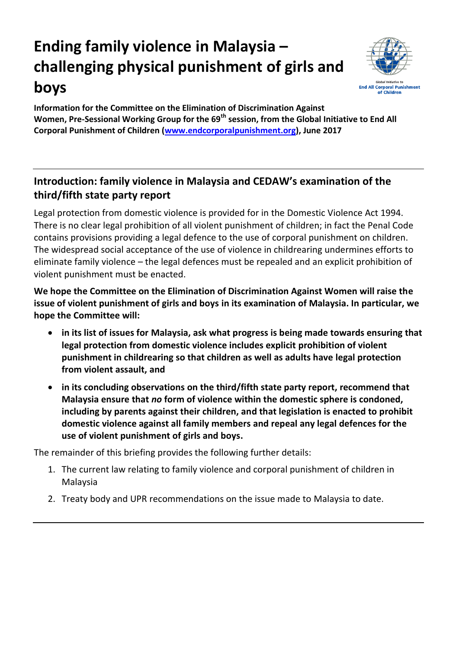## **Ending family violence in Malaysia – challenging physical punishment of girls and boys**



**Information for the Committee on the Elimination of Discrimination Against Women, Pre-Sessional Working Group for the 69th session, from the Global Initiative to End All Corporal Punishment of Children [\(www.endcorporalpunishment.org\)](http://www.endcorporalpunishment.org/), June 2017**

## **Introduction: family violence in Malaysia and CEDAW's examination of the third/fifth state party report**

Legal protection from domestic violence is provided for in the Domestic Violence Act 1994. There is no clear legal prohibition of all violent punishment of children; in fact the Penal Code contains provisions providing a legal defence to the use of corporal punishment on children. The widespread social acceptance of the use of violence in childrearing undermines efforts to eliminate family violence – the legal defences must be repealed and an explicit prohibition of violent punishment must be enacted.

**We hope the Committee on the Elimination of Discrimination Against Women will raise the issue of violent punishment of girls and boys in its examination of Malaysia. In particular, we hope the Committee will:**

- **in its list of issues for Malaysia, ask what progress is being made towards ensuring that legal protection from domestic violence includes explicit prohibition of violent punishment in childrearing so that children as well as adults have legal protection from violent assault, and**
- **in its concluding observations on the third/fifth state party report, recommend that Malaysia ensure that** *no* **form of violence within the domestic sphere is condoned, including by parents against their children, and that legislation is enacted to prohibit domestic violence against all family members and repeal any legal defences for the use of violent punishment of girls and boys.**

The remainder of this briefing provides the following further details:

- 1. The current law relating to family violence and corporal punishment of children in Malaysia
- 2. Treaty body and UPR recommendations on the issue made to Malaysia to date.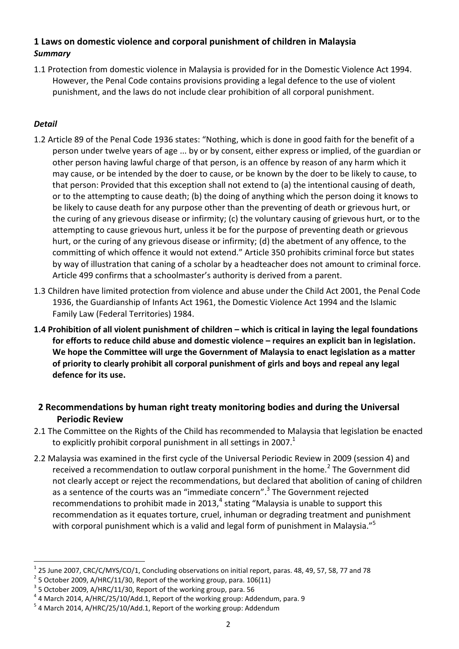## **1 Laws on domestic violence and corporal punishment of children in Malaysia** *Summary*

1.1 Protection from domestic violence in Malaysia is provided for in the Domestic Violence Act 1994. However, the Penal Code contains provisions providing a legal defence to the use of violent punishment, and the laws do not include clear prohibition of all corporal punishment.

## *Detail*

 $\ddot{\phantom{a}}$ 

- 1.2 Article 89 of the Penal Code 1936 states: "Nothing, which is done in good faith for the benefit of a person under twelve years of age ... by or by consent, either express or implied, of the guardian or other person having lawful charge of that person, is an offence by reason of any harm which it may cause, or be intended by the doer to cause, or be known by the doer to be likely to cause, to that person: Provided that this exception shall not extend to (a) the intentional causing of death, or to the attempting to cause death; (b) the doing of anything which the person doing it knows to be likely to cause death for any purpose other than the preventing of death or grievous hurt, or the curing of any grievous disease or infirmity; (c) the voluntary causing of grievous hurt, or to the attempting to cause grievous hurt, unless it be for the purpose of preventing death or grievous hurt, or the curing of any grievous disease or infirmity; (d) the abetment of any offence, to the committing of which offence it would not extend." Article 350 prohibits criminal force but states by way of illustration that caning of a scholar by a headteacher does not amount to criminal force. Article 499 confirms that a schoolmaster's authority is derived from a parent.
- 1.3 Children have limited protection from violence and abuse under the Child Act 2001, the Penal Code 1936, the Guardianship of Infants Act 1961, the Domestic Violence Act 1994 and the Islamic Family Law (Federal Territories) 1984.
- **1.4 Prohibition of all violent punishment of children – which is critical in laying the legal foundations for efforts to reduce child abuse and domestic violence – requires an explicit ban in legislation. We hope the Committee will urge the Government of Malaysia to enact legislation as a matter of priority to clearly prohibit all corporal punishment of girls and boys and repeal any legal defence for its use.**
- **2 Recommendations by human right treaty monitoring bodies and during the Universal Periodic Review**
- 2.1 The Committee on the Rights of the Child has recommended to Malaysia that legislation be enacted to explicitly prohibit corporal punishment in all settings in 2007.<sup>1</sup>
- 2.2 Malaysia was examined in the first cycle of the Universal Periodic Review in 2009 (session 4) and received a recommendation to outlaw corporal punishment in the home.<sup>2</sup> The Government did not clearly accept or reject the recommendations, but declared that abolition of caning of children as a sentence of the courts was an "immediate concern".<sup>3</sup> The Government rejected recommendations to prohibit made in 2013, $^4$  stating "Malaysia is unable to support this recommendation as it equates torture, cruel, inhuman or degrading treatment and punishment with corporal punishment which is a valid and legal form of punishment in Malaysia."<sup>5</sup>

<sup>1</sup> 25 June 2007, CRC/C/MYS/CO/1, Concluding observations on initial report, paras. 48, 49, 57, 58, 77 and 78

 $^2$  5 October 2009, A/HRC/11/30, Report of the working group, para. 106(11)

 $^3$  5 October 2009, A/HRC/11/30, Report of the working group, para. 56

 $^4$  4 March 2014, A/HRC/25/10/Add.1, Report of the working group: Addendum, para. 9

<sup>&</sup>lt;sup>5</sup> 4 March 2014, A/HRC/25/10/Add.1, Report of the working group: Addendum